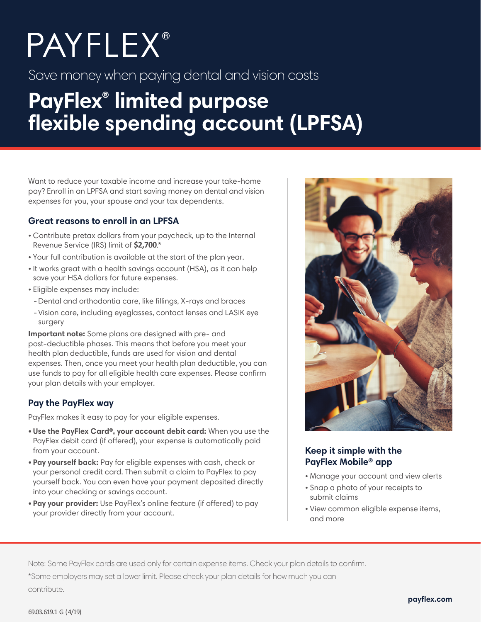# **PAYFLEX®**

Save money when paying dental and vision costs

## **PayFlex® limited purpose flexible spending account (LPFSA)**

Want to reduce your taxable income and increase your take-home pay? Enroll in an LPFSA and start saving money on dental and vision expenses for you, your spouse and your tax dependents.

#### **Great reasons to enroll in an LPFSA**

- Contribute pretax dollars from your paycheck, up to the Internal Revenue Service (IRS) limit of **\$2,700**.\*
- Your full contribution is available at the start of the plan year.
- It works great with a health savings account (HSA), as it can help save your HSA dollars for future expenses.
- Eligible expenses may include:
- Dental and orthodontia care, like fillings, X-rays and braces
- -Vision care, including eyeglasses, contact lenses and LASIK eye surgery

**Important note:** Some plans are designed with pre- and post-deductible phases. This means that before you meet your health plan deductible, funds are used for vision and dental expenses. Then, once you meet your health plan deductible, you can use funds to pay for all eligible health care expenses. Please confirm your plan details with your employer.

#### **Pay the PayFlex way**

PayFlex makes it easy to pay for your eligible expenses.

- **Use the PayFlex Card®, your account debit card:** When you use the PayFlex debit card (if offered), your expense is automatically paid from your account.
- **Pay yourself back:** Pay for eligible expenses with cash, check or your personal credit card. Then submit a claim to PayFlex to pay yourself back. You can even have your payment deposited directly into your checking or savings account.
- **Pay your provider:** Use PayFlex's online feature (if offered) to pay your provider directly from your account.



#### **Keep it simple with the PayFlex Mobile® app**

- Manage your account and view alerts
- Snap a photo of your receipts to submit claims
- View common eligible expense items, and more

Note: Some PayFlex cards are used only for certain expense items. Check your plan details to confirm. \*Some employers may set a lower limit. Please check your plan details for how much you can contribute.